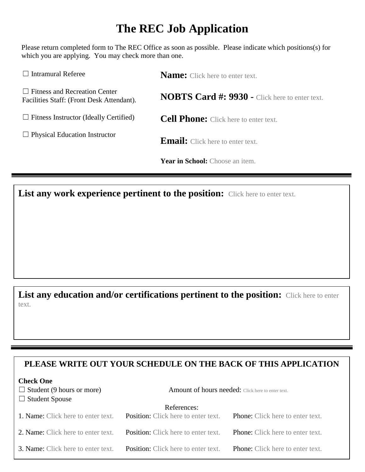## **The REC Job Application**

Please return completed form to The REC Office as soon as possible. Please indicate which positions(s) for which you are applying. You may check more than one.

| $\Box$ Intramural Referee                                                         | <b>Name:</b> Click here to enter text.                |  |
|-----------------------------------------------------------------------------------|-------------------------------------------------------|--|
| $\Box$ Fitness and Recreation Center<br>Facilities Staff: (Front Desk Attendant). | <b>NOBTS Card #: 9930 - Click here to enter text.</b> |  |
| $\Box$ Fitness Instructor (Ideally Certified)                                     | <b>Cell Phone:</b> Click here to enter text.          |  |
| $\Box$ Physical Education Instructor                                              | <b>Email:</b> Click here to enter text.               |  |
|                                                                                   | Year in School: Choose an item.                       |  |

List any work experience pertinent to the position: Click here to enter text.

## **List any education and/or certifications pertinent to the position:** Click here to enter text.

## **PLEASE WRITE OUT YOUR SCHEDULE ON THE BACK OF THIS APPLICATION**

| <b>Check One</b>                          |                                                          |                                         |
|-------------------------------------------|----------------------------------------------------------|-----------------------------------------|
| $\Box$ Student (9 hours or more)          | <b>Amount of hours needed:</b> Click here to enter text. |                                         |
| $\Box$ Student Spouse                     |                                                          |                                         |
|                                           | References:                                              |                                         |
| 1. Name: Click here to enter text.        | <b>Position:</b> Click here to enter text.               | <b>Phone:</b> Click here to enter text. |
| 2. Name: Click here to enter text.        | <b>Position:</b> Click here to enter text.               | <b>Phone:</b> Click here to enter text. |
| <b>3. Name:</b> Click here to enter text. | <b>Position:</b> Click here to enter text.               | <b>Phone:</b> Click here to enter text. |